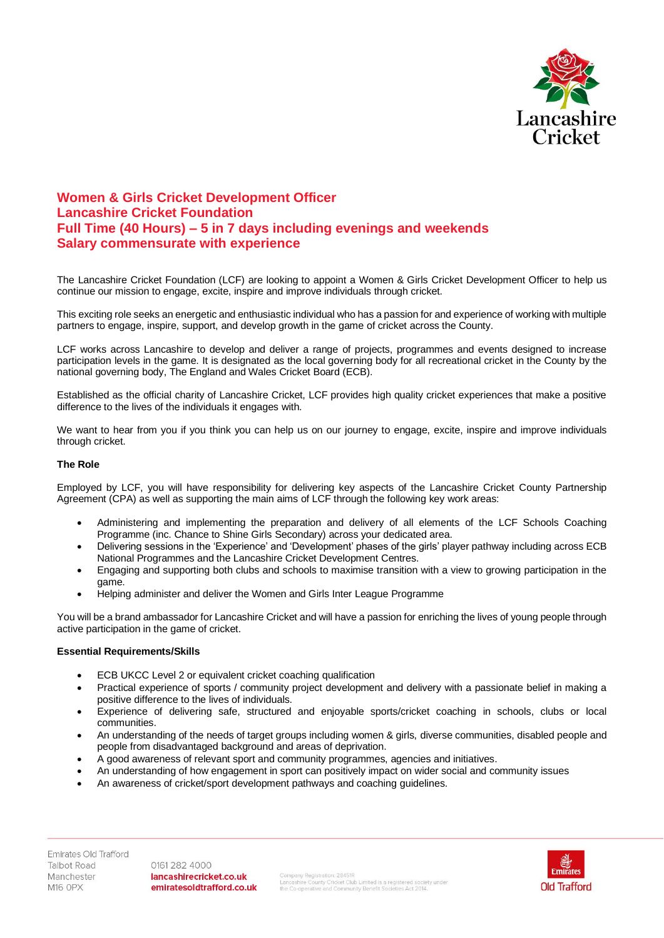

## **Women & Girls Cricket Development Officer Lancashire Cricket Foundation Full Time (40 Hours) – 5 in 7 days including evenings and weekends Salary commensurate with experience**

The Lancashire Cricket Foundation (LCF) are looking to appoint a Women & Girls Cricket Development Officer to help us continue our mission to engage, excite, inspire and improve individuals through cricket.

This exciting role seeks an energetic and enthusiastic individual who has a passion for and experience of working with multiple partners to engage, inspire, support, and develop growth in the game of cricket across the County.

LCF works across Lancashire to develop and deliver a range of projects, programmes and events designed to increase participation levels in the game. It is designated as the local governing body for all recreational cricket in the County by the national governing body, The England and Wales Cricket Board (ECB).

Established as the official charity of Lancashire Cricket, LCF provides high quality cricket experiences that make a positive difference to the lives of the individuals it engages with.

We want to hear from you if you think you can help us on our journey to engage, excite, inspire and improve individuals through cricket.

## **The Role**

Employed by LCF, you will have responsibility for delivering key aspects of the Lancashire Cricket County Partnership Agreement (CPA) as well as supporting the main aims of LCF through the following key work areas:

- Administering and implementing the preparation and delivery of all elements of the LCF Schools Coaching Programme (inc. Chance to Shine Girls Secondary) across your dedicated area.
- Delivering sessions in the 'Experience' and 'Development' phases of the girls' player pathway including across ECB National Programmes and the Lancashire Cricket Development Centres.
- Engaging and supporting both clubs and schools to maximise transition with a view to growing participation in the game.
- Helping administer and deliver the Women and Girls Inter League Programme

You will be a brand ambassador for Lancashire Cricket and will have a passion for enriching the lives of young people through active participation in the game of cricket.

## **Essential Requirements/Skills**

- ECB UKCC Level 2 or equivalent cricket coaching qualification
- Practical experience of sports / community project development and delivery with a passionate belief in making a positive difference to the lives of individuals.
- Experience of delivering safe, structured and enjoyable sports/cricket coaching in schools, clubs or local communities.
- An understanding of the needs of target groups including women & girls, diverse communities, disabled people and people from disadvantaged background and areas of deprivation.
- A good awareness of relevant sport and community programmes, agencies and initiatives.
- An understanding of how engagement in sport can positively impact on wider social and community issues
- An awareness of cricket/sport development pathways and coaching guidelines.

0161 282 4000 lancashirecricket.co.uk emiratesoldtrafford.co.uk

Company Registration: 28451R<br>Lancashire County Cricket Club Limited is a registered society under<br>the Co-operative and Community Benefit Societies Act 2014.